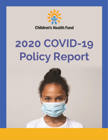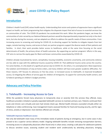

## **Introduction**

Children's Health Fund (CHF) values health equity. Understanding that racism and systems of oppression have a significant impact on health, we foster programming that mitigates the disparate impact that lack of access to essential services has on communities of color. The COVID-19 pandemic has accelerated this work. When the pandemic began, we knew the communities of color served by our National Network partners would be disproportionately impacted not only in the short term, but also during the recovery, and we adapted our efforts to address the specific needs of these communities. From increasing access to screening and testing for COVID-19, to directing support for families to mitigate impacts from lost wages, remote learning, trauma, and access to food, our partner programs support the diverse needs of their patients and families. In short, their work provides better access to healthcare, while at the same time focusing on the social determinants of health, the primary driver of health outcomes. By supporting our partner programs' efforts in this way, CHF aims to narrow the equity gaps for Black and brown communities exacerbated by COVID-19.

Children already traumatized by racism, xenophobia, housing instability, economic uncertainty, and community violence are less able to cope with the additional trauma caused by COVID-19. That additional trauma varies across the country. For some families, it is the death of a significant person due to COVID-19.; for others, it is unemployment. Most experience the isolation and limitations of stay-at-home orders, and many children will have even greater academic difficulties. For these reasons, CHF focuses its advocacy on five key areas: 1) increased access to telehealth; 2) improved broadband access; 3) mitigating the effects of service gaps for children of immigrants; 4) support for community health centers; and 5) federal spending on children's budget priorities.

## **Advocacy and Policy Priorities**

## **1. Telehealth - Increasing Access to Care**

While the pandemic forced many physicians to temporarily close or severely limit the services they offered, many healthcare providers initiated or greatly expanded telehealth services to maintain primary care. Patients continued their acute and chronic care virtually and even had remote check-ups. Mental health clinicians counseled virtually either via telephone or video conferencing. Case management teams assessed families for food and housing security, and for signs of stress, anxiety or depression. Even dentists offered care virtually.

## **Telehealth improves healthcare access**

Not only did telehealth meet many of the immediate needs of patients during an emergency, but in some cases it also proved to be a superior service delivery model. Ongoing telehealth benefits include removing transportation barriers; increasing access to subspecialty physicians often found only in urban areas; creating a safe place for adolescent patients to discuss sensitive issues; assessing student and resident work unobtrusively by attending physicians; bringing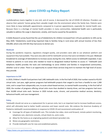

multidisciplinary teams together in one visit; and of course, it decreased the risk of COVID-19 infection. Providers can observe their patients' homes giving them valuable insight into the environment where the family lives. Patients were more likely to keep telehealth appointments compared to in-person appointments, especially for mental health care. Because there is a shortage of mental health providers in many communities, telemental health care is particularly valuable to address the surge in depression, anxiety, and trauma caused by the pandemic.

A Zeldis Research survey found that the use of teledentistry for children increased from 11% pre-pandemic to 16% use by May 2020. Teledentistry could bring important help to families living in rural areas with annual incomes of less than \$50,000, where only 52% felt they had access to dental care.

#### **Medicaid**

During the pandemic response, regulations changed quickly, and providers were able to use whatever platform and equipment they had available. They were also able to bill for telehealth services that were not billable in the past. Medicaid broadened its coverage of telemedicine to increase access during the crisis. Before access to telehealth expanded, it was limited to patients in rural areas who needed to travel to designated medical facilities to access it.<sup>1</sup> Telehealth (and telephonic health) provides the tools and methodology to serve children and families in marginalized communities, whether rural or urban. There is an opportunity to sustain these services long term to maintain the high level of access they provide.

## **Importance to CHF**

In 2019, Children's Health Fund partners had 2,481 telehealth visits. In the first half of 2020, that number soared to 45,610 virtual visits. Last year, eight partner programs had telehealth projects that ranged in size from a handful to over 1,300 visits, and in scope from subspecialty care, to acute school-based services, to mental health counseling. In the first half of 2020, the number of programs offering virtual visits more than doubled to twenty-three, and two programs had more than 16,000 virtual visits each. Services in 2020 include acute, chronic, and preventive medical services; dentistry; behavioral health; and case management.

## **Policy**

Telehealth should not serve as a replacement for in-person visits, but is an important tool to increase healthcare access, which will ultimately lead to better health outcomes and lower overall costs. We endorse the American Academy of Pediatrics telehealth recommendations in response to COVID-19 and recommend continuation of:

- Coverage for all types of telehealth care. This includes live video, store-and-forward, remote patient monitoring, telephone care, electronic consults, virtual check-ins, and e-visits.
- Allow for the home as an originating (patient) and distant (provider) site.
- Waive any geographic restrictions.
- Provide telehealth care for new and established patients.

<sup>1</sup> <https://www.cms.gov/newsroom/fact-sheets/medicare-telemedicine-health-care-provider-fact-sheet>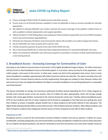

- Ensure coverage of both COVID-19 related services and other services.
- Ensure access to all licensed clinicians available to treat via telehealth as long as services provided are clinically appropriate.
- Not default to existing telehealth care vendor contracts but ensure coverage to the pediatric medical home as well as pediatric medical subspecialists and surgical specialists.
- Follow the March 17 HHS OCR guidance and subsequent FAQ and allow for good faith use of non-HIPAA compliant end-to-end communication apps/platforms.
- Eliminate any frequency limitations and communicate clearly with providers as to policy change time frames.
- Pay for telehealth care visits at parity with in-person visits.
- Provide retroactive payment at parity to the start of the COVID-19 crisis.
- Pay a transmission/facility fee or otherwise help compensate practices for associated telehealth care costs.
- Waive cost sharing for telehealth visits and ensure payment to providers is inclusive of what would otherwise be a cost sharing amount.

## **2. Broadband Access - Increasing Coverage for Communities of Color**

According to the Federal Communications Commission's (FCC) Eighth Broadband Progress Report, 19 million Americans still lack access to fixed broadband service at threshold speeds. In rural areas, nearly one-fourth of the population—14.5 million people—lack access to this service. In tribal areas, nearly one-third of the population lacks access. Even in areas where broadband is available, approximately 100 million Americans still do not subscribe. The report concludes that until the Commission's Connect America reforms are fully implemented, these gaps are unlikely to close. Because millions still lack access to or have not adopted broadband, the Report concludes broadband is not yet being deployed in a reasonable and timely fashion.<sup>2</sup>

The House Committee on Energy and Commerce authorized \$4 billion toward expanding the FCC's E-Rate program to provide more internet access across the country. Only \$1.5 billion has been appropriated, which will not get enough families with school aged children connected to the internet during this school year. Families without broadband access (37% of rural students and 21% of urban students) will be forced to congregate in fast food and civic parking lots; send their children to school, if available, despite familial risk; or allow students to fall further behind in their education. The digital divide disproportionally affects communities of color: 35% of Native American students, 30% of Black students, and 26% of Hispanics students have inadequate internet access at home compared to only 18% of white students.

## **Importance to CHF**

Broadband service is crucial for the communities served by Children's Health Fund and our partners. It allows for access to telehealth, including subspecialty care and mental health counseling. Broadband is needed not only for online education for our students during the pandemic, but also for homework at any time and primary care visits when needed. Access to

<sup>2</sup> <https://www.fcc.gov/reports-research/reports/broadband-progress-reports/eighth-broadband-progress-report>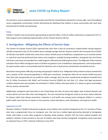

the internet is such an important communication tool that the United Nations declared it a human right. Lack of broadband access marginalizes communities, further diminishing the likelihood that children in those communities will reach their full potential for health and well-being.

#### **Policy**

Children's Health Fund recommends appropriating at least \$4 million, of the \$5 million authorized, to expand the FCC's E-Rate program and completing implementation of the Connect America reforms.

## **3. Immigration - Mitigating the Effects of Service Gaps**

The Centers for Disease Control (CDC) reported that more than a third of coronavirus related deaths among Hispanics (34.9%) compared to only 13.2% of whites were in people younger than 65. Reasons cited for the increased risk of COVID-19 infection and death include toxic stress from racism; limited access to healthcare; employment as an essential worker or a job that cannot be performed from home; and crowded or unstable housing conditions. Immigrants face all of those risk factors and many are excluded from relief programs offered by the federal government. The Migration Policy Institute estimates that 6 million immigrants work in frontline occupations such as healthcare, food production, and transportation. An equal number work in economically hard-hit industries such as food service and domestic household services.

Noncitizens have greater difficulty accessing and paying for medical care. A Migration Policy Institute analysis showed that over a quarter of the uninsured population in 2018 were noncitizens. Immigrants often do not receive health insurance from their jobs and generally do not qualify for public coverage. Not only were unauthorized immigrants excluded from the \$2 trillion Coronavirus Aid, Relief, and Economic Security (CARES) Act, but their U.S. citizen and legal permanent resident relatives were also excluded. An estimated 3.7 million children who were either U.S. citizens or green-card holders did not receive cash benefits.

Additionally, immigrants who have been in the United States less than 10 years have higher rates of dental diseases and receive dental care less often than nonimmigrants. The care received by immigrants tends to be more costly treatment for disease rather than disease prevention. Inequities in oral health care among recent immigrant children is a serious public health issue that has an impact on the economy, school attendance, work attendance, and long-term health.

#### **Importance to CHF**

Nineteen Children's Health Fund partner programs serve children who recently immigrated to the U.S. Fourteen of those sites have a programmatic focus on immigrant care. One site has a medical legal partnership devoted to immigration needs, with hopes to assist other programs to develop similar projects. Another CHF site trains medical students and pediatric residents in best practices in the care of children who have recently immigrated. Immigration issues have been an important focus in CHF's national conferences since 2017.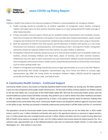

## **Policy**

Children's Health Fund endorses the American Academy of Pediatrics recommendations for immigrant children:

- Health coverage should be provided for all children regardless of immigration status. Neither immigrant children with legal status nor their parents should be subject to a 5-year waiting period for health coverage or other federal benefits.
- Private and public insurance payers should pay for qualified medical interpretation and translation services. Given the increased cost-effectiveness and quality of care provided with medical interpretation, payers should recognize and reimburse for the increased time needed during a medical encounter when using an interpreter.
- Both the separation of children from their parents and the detention of children with parents as a tool of law enforcement are inhumane, counterproductive, and threatening to short- and long-term health. Immigration authorities should not separate children from their parents nor place children in detention.
- Immigration enforcement activities should not occur at or near sensitive locations such as hospitals, health care facilities, schools (including childcare and Head Start), places of worship, and other sensitive locations. Pediatricians have the right to report and protest any such enforcement. Medical records should be protected from immigration enforcement actions. Health systems should develop protocols to minimize fear and enhance trust for those seeking health care.
- Children in immigration proceedings should have access to legal representation at no cost to the child. Medicallegal partnerships that include immigration representation (eg, Terra Firma) and efforts to increase legal representation (eg, KIND, the Young Center for Immigrant Children's Rights, RAICES) should be supported practically and financially at local, state, and federal levels.

## **4. Community Health Centers - Continued Support**

Community Health Centers, also known as Federally Qualified Health Centers (FQHC), by serving over 30 million patients a year are a key component of the public health infrastructure. The fact that 9 million of those patients are children attests to the fact that FQHCs are a crucial part of the Child Health Safety Net. Not only do community health centers save the overall healthcare system nearly \$24 billion annually, they perform just as well or better than other healthcare providers on 94% of quality measures. FQHCs are governed by at least a 51% patient-majority board of directors making them accountable to the communities they serve. Community Health Centers see all patients without regard to insurance status or the ability to pay. And they are located in medically underserved communities in all fifty states and five U.S. territories.

The populations served by Community Health Centers demonstrate how crucial they are for the Safety Net. In 2019, Health Centers cared for over 1 million individuals and families who work in the agricultural industry as seasonal or migrant workers; over 1.4 million people who were unstably housed; and over 5 million children and adults who live in public housing. More than 60% of Health Center patients are people of color, and 14.5 million patients had incomes below the federal poverty line. On a national scale, approximately one in five Medicaid patients seek care at Community Health Centers. In nine states and Washington, D.C., that statistic is one in four.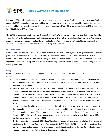

Not only do FQHCs offer medical and behavioral healthcare, they provided over 17 million dental visits to over 6.7 million patients in 2019. Nationally far too many children have untreated cavities with striking inequities by race. Children ages 4 to 6 years old with untreated dental cavities in permanent teeth ranged from 47% in Native Americans, to 28% in Hispanics, to 19% in Blacks, to 14% in whites.

The COVID-19 pandemic greatly harmed Community Health Centers. Services and some entire clinics were closed for weeks during the stay at home orders early in the pandemic. Virtual visits were reimbursed at lower rates. And personal protective equipment was scarce and available only at inflated rates. These factors contributed to vastly reduced revenue and increased costs, which forced many FQHCs to furlough or layoff staff.

#### **Importance to CHF**

Nine Children's Health Fund partners are Federally Qualified Health Centers. The original CHF program and the two newest partners in our National Network are FQHCs. The CHF Community Health Center partners work in rural, suburban, and urban communities; in fixed-site and mobile clinics; and serve the entire range of FQHC focus populations: individuals experiencing homelessness, agricultural workers, public housing residents, school students, and people living below the federal poverty line.

## **Policy**

Children's Health Fund agrees and supports the National Association of Community Health Centers policy recommendations:

- COVID-19 emergency funding of \$7.6 billion. Monies to fund detection, prevention and diagnosis of COVID-19, as well as address health center revenue losses, enable them to stay open, and alleviate some of the pressure on emergency departments.
- Stabilize current services and expand care to 10 million patients; \$41.9 billion over 5 years. Recovery from the COVID-19 pandemic will likely result in increased demand for essential primary care services. Health centers need long-term financial stability to maintain current services, meet staffing needs, and deliver reliable, quality services. Managed growth of health center capacity will allow expansion of services to additional medically underserved patients in high need areas, in response to the COVID-19 aftermath and provide services to all regardless of ability to pay.
- Critical expansion of workforce programs to address shortfall: \$7.8 billion over 5 years. This includes funding for the National Health Service Corps Loan Repayment Program, \$6 billion over 5 years; Teaching Health Centers Graduate Medical Education (GME) Program, \$931 million over 5 years; and the Nurse Corps Loan Repayment Program, \$87 million over 5 years. Federal government data projects a national shortfall of up to 160,000 physicians and one million nurses by 2025.
- Crucial infrastructure investment: \$20 billion. There has not been significant investment in health center capital funding since the American Recovery and Reinvestment Act (ARRA) of 2009. This funding will address the critical facility needs, as well as, acquisition and upgrades of needed equipment and technology to develop integrated systems of care, including data tracking and sharing, and virtual visits.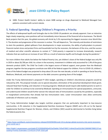

340B. Protect Health Centers' ability to retain 340B savings on drugs dispensed to Medicaid Managed Care patients consistent with current statute.

## **5. Federal Spending - Keeping Children's Programs a Priority**

The effects of widespread layoffs and furloughs due to the COVID-19 pandemic are already apparent. Even as industries begin slowly reopening, some positions will not immediately return because of the financial toll on businesses. The World Bank projects that this year, the global economy will shrink by 5.2% representing the biggest recession since World War II. The duration and progression of this recession is unclear. This will depend on, "the intensity and duration of restrictions to stem the pandemic, global spillovers from developments in major economies, the ability of policymakers to prevent financial market stress and protect firms and households hurt by the recession, the behavior of the virus, and the success of medical and other scientific advances to contain it."<sup>3</sup> Child poverty is expected to increase dramatically; research indicates that we could see an increase of over 50% as a result of extensive layoffs and furloughs during the pandemic.<sup>4</sup>

Far more children than adults live below the Federal Poverty Line, yet children's share of the federal budget was only 9% in 2019 or about \$6,700 per child. As a share in the economy, investment in children only accounted for 1.9% of the gross domestic product (GDP). The Child Tax Credit is the largest source of federal support, even greater than the Medicaid program; together the two programs constitute over 60% of the federal support for children. Prior to COVID-19, children's share of the federal budget was projected to drop about 2% over the next decade, as built-in spending on Social Security, Medicare, Medicaid, and interest payments on the debt consume a growing share of the budget.

Under the Trump Administration's proposed FY 2021 budget, spending on children's discretionary programs would be reduced by 22%. The proposal includes cuts to special education; elimination of the preschool development block grant; reduced Head Start funding; and reduction in housing programs. Medicaid would require able-bodied parents to work in order for children to continue to be covered by Medicaid. Spending on immunizations for special populations, uninsured, and underinsured children would further worsen the reduced rates of immunizations caused by the pandemic, especially in marginalized communities that already had low immunization rates. Lower immunization rates allow community outbreaks of infections such as measles.

The Trump Administration budget also targets nutrition programs that are particularly important to low-resource communities. A 4% reduction in the Supplemental Nutrition Assistance Program (SNAP) and a 6% cut to the Special Supplemental Nutrition Program for Women, Infants, and Children (WIC) would be detrimental to families living below the federal poverty line.

<sup>3</sup> [https://www.worldbank.org/en/news/press-release/2020/06/08/covid-19-to-plunge-global-economy-into-worst-recession](https://www.worldbank.org/en/news/press-release/2020/06/08/covid-19-to-plunge-global-economy-into-worst-recession-since-world-war-ii)[since-world-war-ii](https://www.worldbank.org/en/news/press-release/2020/06/08/covid-19-to-plunge-global-economy-into-worst-recession-since-world-war-ii) 4

[https://static1.squarespace.com/static/5743308460b5e922a25a6dc7/t/5e9786f17c4b4e20ca02d16b/1586988788821/Fore](https://static1.squarespace.com/static/5743308460b5e922a25a6dc7/t/5e9786f17c4b4e20ca02d16b/1586988788821/Forecasting-Poverty-Estimates-COVID19-CPSP-2020.pdf) [casting-Poverty-Estimates-COVID19-CPSP-2020.pdf](https://static1.squarespace.com/static/5743308460b5e922a25a6dc7/t/5e9786f17c4b4e20ca02d16b/1586988788821/Forecasting-Poverty-Estimates-COVID19-CPSP-2020.pdf)